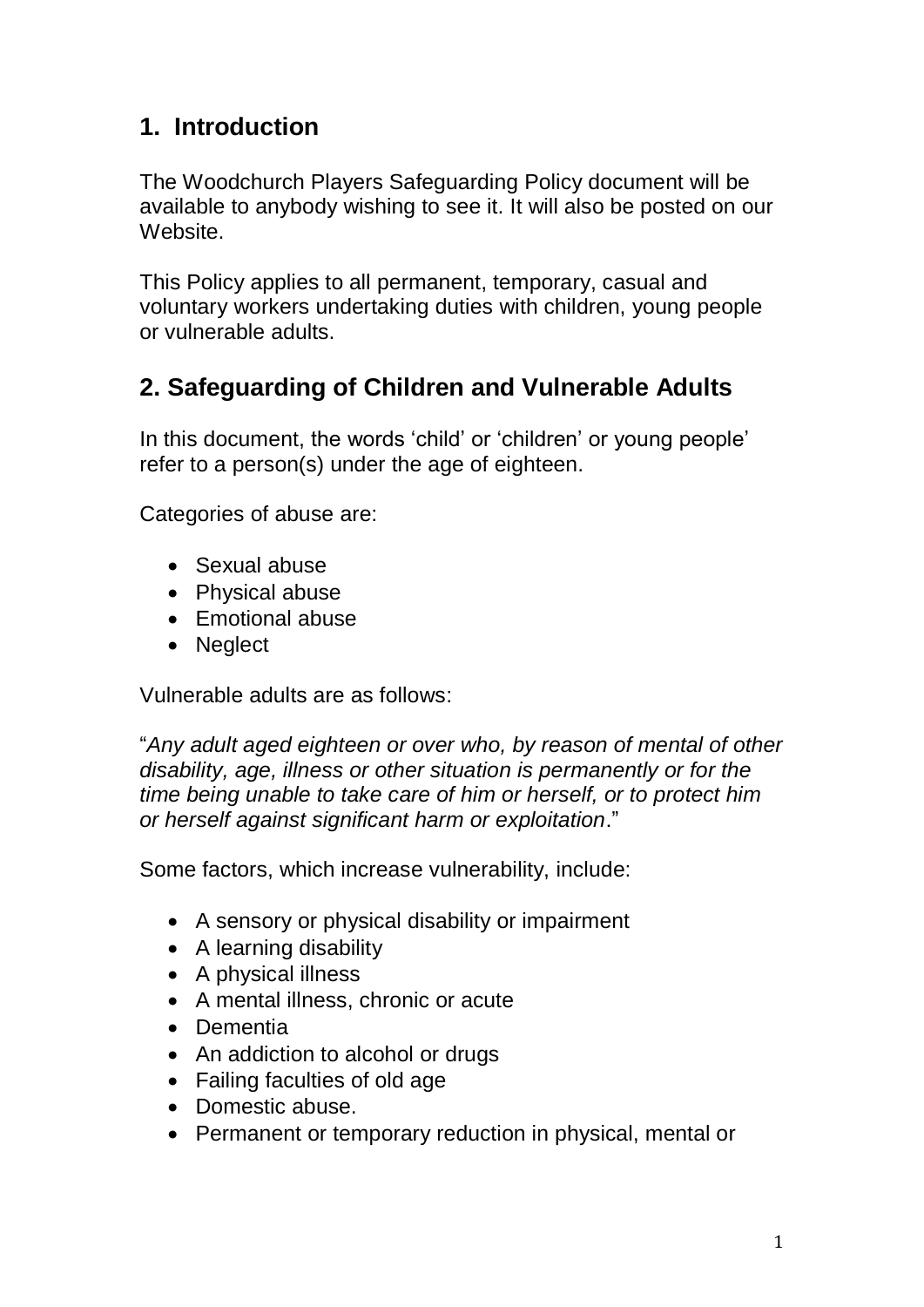### **1. Introduction**

The Woodchurch Players Safeguarding Policy document will be available to anybody wishing to see it. It will also be posted on our Website.

This Policy applies to all permanent, temporary, casual and voluntary workers undertaking duties with children, young people or vulnerable adults.

## **2. Safeguarding of Children and Vulnerable Adults**

In this document, the words 'child' or 'children' or young people' refer to a person(s) under the age of eighteen.

Categories of abuse are:

- Sexual abuse
- Physical abuse
- Emotional abuse
- Neglect

Vulnerable adults are as follows:

"*Any adult aged eighteen or over who, by reason of mental of other disability, age, illness or other situation is permanently or for the time being unable to take care of him or herself, or to protect him or herself against significant harm or exploitation*."

Some factors, which increase vulnerability, include:

- A sensory or physical disability or impairment
- A learning disability
- A physical illness
- A mental illness, chronic or acute
- Dementia
- An addiction to alcohol or drugs
- Failing faculties of old age
- Domestic abuse
- Permanent or temporary reduction in physical, mental or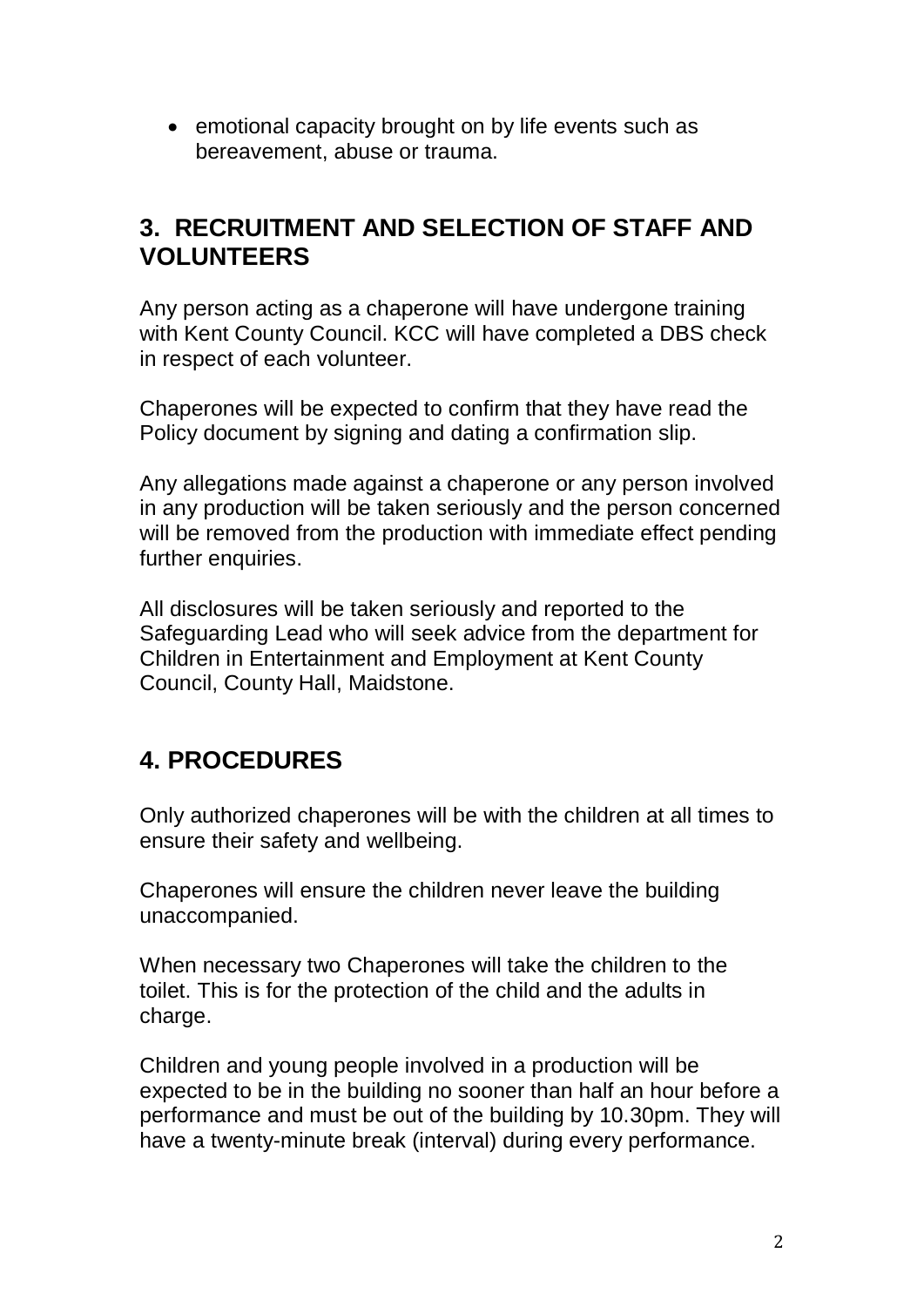• emotional capacity brought on by life events such as bereavement, abuse or trauma.

#### **3. RECRUITMENT AND SELECTION OF STAFF AND VOLUNTEERS**

Any person acting as a chaperone will have undergone training with Kent County Council. KCC will have completed a DBS check in respect of each volunteer.

Chaperones will be expected to confirm that they have read the Policy document by signing and dating a confirmation slip.

Any allegations made against a chaperone or any person involved in any production will be taken seriously and the person concerned will be removed from the production with immediate effect pending further enquiries.

All disclosures will be taken seriously and reported to the Safeguarding Lead who will seek advice from the department for Children in Entertainment and Employment at Kent County Council, County Hall, Maidstone.

## **4. PROCEDURES**

Only authorized chaperones will be with the children at all times to ensure their safety and wellbeing.

Chaperones will ensure the children never leave the building unaccompanied.

When necessary two Chaperones will take the children to the toilet. This is for the protection of the child and the adults in charge.

Children and young people involved in a production will be expected to be in the building no sooner than half an hour before a performance and must be out of the building by 10.30pm. They will have a twenty-minute break (interval) during every performance.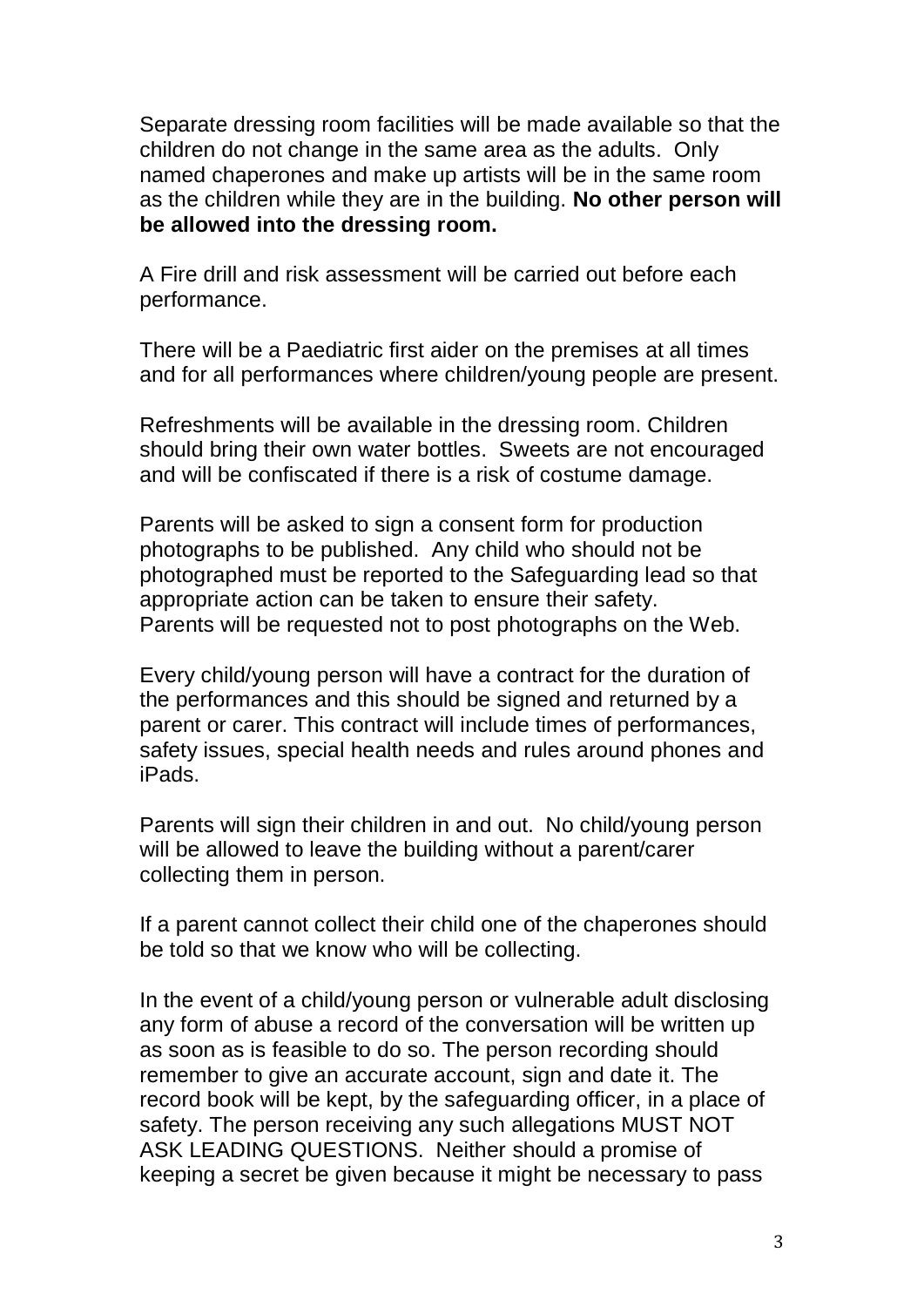Separate dressing room facilities will be made available so that the children do not change in the same area as the adults. Only named chaperones and make up artists will be in the same room as the children while they are in the building. **No other person will be allowed into the dressing room.**

A Fire drill and risk assessment will be carried out before each performance.

There will be a Paediatric first aider on the premises at all times and for all performances where children/young people are present.

Refreshments will be available in the dressing room. Children should bring their own water bottles. Sweets are not encouraged and will be confiscated if there is a risk of costume damage.

Parents will be asked to sign a consent form for production photographs to be published. Any child who should not be photographed must be reported to the Safeguarding lead so that appropriate action can be taken to ensure their safety. Parents will be requested not to post photographs on the Web.

Every child/young person will have a contract for the duration of the performances and this should be signed and returned by a parent or carer. This contract will include times of performances, safety issues, special health needs and rules around phones and iPads.

Parents will sign their children in and out. No child/young person will be allowed to leave the building without a parent/carer collecting them in person.

If a parent cannot collect their child one of the chaperones should be told so that we know who will be collecting.

In the event of a child/young person or vulnerable adult disclosing any form of abuse a record of the conversation will be written up as soon as is feasible to do so. The person recording should remember to give an accurate account, sign and date it. The record book will be kept, by the safeguarding officer, in a place of safety. The person receiving any such allegations MUST NOT ASK LEADING QUESTIONS. Neither should a promise of keeping a secret be given because it might be necessary to pass